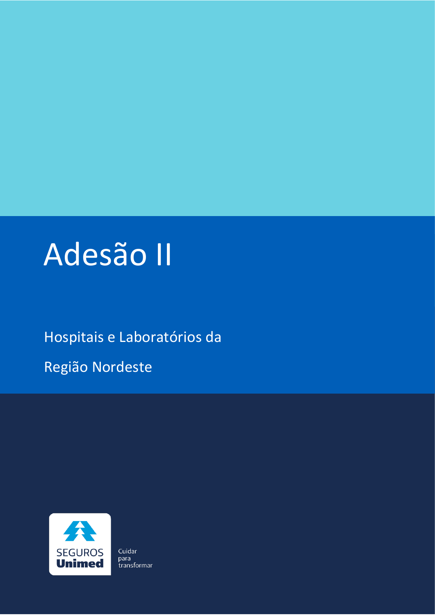

### Hospitais e Laboratórios da

Região Nordeste



Cuidar para transformar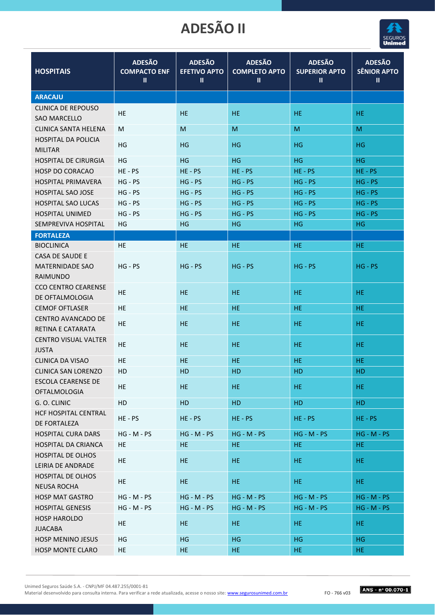

| <b>HOSPITAIS</b>            | <b>ADESÃO</b><br><b>COMPACTO ENF</b><br>Ш | <b>ADESÃO</b><br><b>EFETIVO APTO</b><br>Ш | <b>ADESÃO</b><br><b>COMPLETO APTO</b><br>Ш | <b>ADESÃO</b><br><b>SUPERIOR APTO</b><br>Ш | <b>ADESÃO</b><br><b>SÊNIOR APTO</b><br>Ш |
|-----------------------------|-------------------------------------------|-------------------------------------------|--------------------------------------------|--------------------------------------------|------------------------------------------|
| <b>ARACAJU</b>              |                                           |                                           |                                            |                                            |                                          |
| <b>CLINICA DE REPOUSO</b>   |                                           |                                           |                                            |                                            |                                          |
| <b>SAO MARCELLO</b>         | HE                                        | HE.                                       | HE.                                        | HE.                                        | HE.                                      |
| CLINICA SANTA HELENA        | M                                         | M                                         | M                                          | M                                          | M                                        |
| <b>HOSPITAL DA POLICIA</b>  | HG                                        | HG                                        | HG                                         | HG                                         | HG                                       |
| <b>MILITAR</b>              |                                           |                                           |                                            |                                            |                                          |
| <b>HOSPITAL DE CIRURGIA</b> | ΗG                                        | HG                                        | HG                                         | HG                                         | HG                                       |
| <b>HOSP DO CORACAO</b>      | $HE - PS$                                 | $HE - PS$                                 | $HE - PS$                                  | HE-PS                                      | $HE - PS$                                |
| <b>HOSPITAL PRIMAVERA</b>   | $HG - PS$                                 | $HG - PS$                                 | $HG - PS$                                  | $HG - PS$                                  | $HG - PS$                                |
| <b>HOSPITAL SAO JOSE</b>    | $HG - PS$                                 | $HG - PS$                                 | $HG - PS$                                  | $HG - PS$                                  | $HG - PS$                                |
| <b>HOSPITAL SAO LUCAS</b>   | $HG - PS$                                 | $HG - PS$                                 | $HG - PS$                                  | $HG - PS$                                  | $HG - PS$                                |
| <b>HOSPITAL UNIMED</b>      | $HG - PS$                                 | $HG - PS$                                 | $HG - PS$                                  | $HG - PS$                                  | $HG - PS$                                |
| SEMPREVIVA HOSPITAL         | HG                                        | HG                                        | HG                                         | HG                                         | HG                                       |
| <b>FORTALEZA</b>            |                                           |                                           |                                            |                                            |                                          |
| <b>BIOCLINICA</b>           | HE                                        | HE.                                       | HE                                         | <b>HE</b>                                  | HE                                       |
| CASA DE SAUDE E             |                                           |                                           |                                            |                                            |                                          |
| <b>MATERNIDADE SAO</b>      | $HG - PS$                                 | $HG - PS$                                 | $HG - PS$                                  | $HG - PS$                                  | $HG - PS$                                |
| <b>RAIMUNDO</b>             |                                           |                                           |                                            |                                            |                                          |
| <b>CCO CENTRO CEARENSE</b>  | <b>HE</b>                                 | <b>HE</b>                                 | HE                                         | HE                                         | HE                                       |
| DE OFTALMOLOGIA             |                                           |                                           |                                            |                                            |                                          |
| <b>CEMOF OFTLASER</b>       | <b>HE</b>                                 | <b>HE</b>                                 | <b>HE</b>                                  | HE                                         | HE                                       |
| <b>CENTRO AVANCADO DE</b>   | HE                                        | HE.                                       | HE                                         | HE                                         | HE                                       |
| RETINA E CATARATA           |                                           |                                           |                                            |                                            |                                          |
| <b>CENTRO VISUAL VALTER</b> | HE                                        | HE.                                       | HE.                                        | HE                                         | HE.                                      |
| <b>JUSTA</b>                |                                           |                                           |                                            |                                            |                                          |
| CLINICA DA VISAO            | <b>HE</b>                                 | <b>HE</b>                                 | <b>HE</b>                                  | <b>HE</b>                                  | <b>HE</b>                                |
| CLINICA SAN LORENZO         | HD                                        | HD                                        | HD                                         | <b>HD</b>                                  | HD                                       |
| <b>ESCOLA CEARENSE DE</b>   | HE.                                       | <b>HE</b>                                 | HE.                                        | HE.                                        | HE.                                      |
| <b>OFTALMOLOGIA</b>         |                                           |                                           |                                            |                                            |                                          |
| G. O. CLINIC                | HD                                        | <b>HD</b>                                 | HD                                         | HD                                         | HD                                       |
| <b>HCF HOSPITAL CENTRAL</b> | HE-PS                                     | HE-PS                                     | $HE - PS$                                  | $HE - PS$                                  | $HE - PS$                                |
| DE FORTALEZA                |                                           |                                           |                                            |                                            |                                          |
| <b>HOSPITAL CURA DARS</b>   | $HG - M - PS$                             | $HG - M - PS$                             | $HG - M - PS$                              | $HG - M - PS$                              | $HG - M - PS$                            |
| <b>HOSPITAL DA CRIANCA</b>  | <b>HE</b>                                 | <b>HE</b>                                 | HE.                                        | HE.                                        | HE                                       |
| <b>HOSPITAL DE OLHOS</b>    | HE                                        | <b>HE</b>                                 | HE.                                        | HE.                                        | HE.                                      |
| LEIRIA DE ANDRADE           |                                           |                                           |                                            |                                            |                                          |
| HOSPITAL DE OLHOS           | HE                                        | HE.                                       | HE.                                        | HE.                                        | HE.                                      |
| <b>NEUSA ROCHA</b>          |                                           |                                           |                                            |                                            |                                          |
| <b>HOSP MAT GASTRO</b>      | $HG - M - PS$                             | $HG - M - PS$                             | $HG - M - PS$                              | $HG - M - PS$                              | $HG - M - PS$                            |
| <b>HOSPITAL GENESIS</b>     | $HG - M - PS$                             | $HG - M - PS$                             | $HG - M - PS$                              | $HG - M - PS$                              | $HG - M - PS$                            |
| <b>HOSP HAROLDO</b>         | HE                                        | HE                                        | HE.                                        | HE.                                        | HE.                                      |
| <b>JUACABA</b>              |                                           |                                           |                                            |                                            |                                          |
| <b>HOSP MENINO JESUS</b>    | HG                                        | HG                                        | HG                                         | HG                                         | <b>HG</b>                                |
| HOSP MONTE CLARO            | HE                                        | HE                                        | HE.                                        | HE.                                        | HE                                       |

Unimed Seguros Saúde S.A. - CNPJ/MF 04.487.255/0001-81

Material desenvolvido para consulta interna. Para verificar a rede atualizada, acesse o nosso site[: www.segurosunimed.com.br](http://www.segurosunimed.com.br/)FO - 766 v03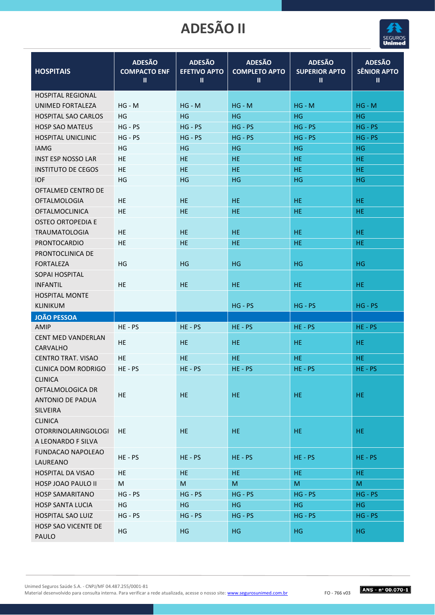

| <b>HOSPITAIS</b>                                                   | <b>ADESÃO</b><br><b>COMPACTO ENF</b><br>Ш | <b>ADESÃO</b><br><b>EFETIVO APTO</b><br>Ш | <b>ADESÃO</b><br><b>COMPLETO APTO</b><br>Ш | <b>ADESÃO</b><br><b>SUPERIOR APTO</b><br>Ш | <b>ADESÃO</b><br><b>SÊNIOR APTO</b><br>$\mathbf{II}$ |
|--------------------------------------------------------------------|-------------------------------------------|-------------------------------------------|--------------------------------------------|--------------------------------------------|------------------------------------------------------|
| <b>HOSPITAL REGIONAL</b>                                           |                                           |                                           |                                            |                                            |                                                      |
| UNIMED FORTALEZA                                                   | $HG - M$                                  | $HG - M$                                  | $HG - M$                                   | $HG - M$                                   | $HG - M$                                             |
| <b>HOSPITAL SAO CARLOS</b>                                         | HG                                        | HG                                        | HG                                         | HG                                         | HG                                                   |
| <b>HOSP SAO MATEUS</b>                                             | $HG - PS$                                 | $HG - PS$                                 | $HG - PS$                                  | $HG - PS$                                  | $HG - PS$                                            |
| HOSPITAL UNICLINIC                                                 | $HG - PS$                                 | $HG - PS$                                 | $HG - PS$                                  | $HG - PS$                                  | $HG - PS$                                            |
| <b>IAMG</b>                                                        | HG                                        | HG                                        | HG.                                        | HG                                         | HG                                                   |
| <b>INST ESP NOSSO LAR</b>                                          | HE                                        | <b>HE</b>                                 | <b>HE</b>                                  | HE.                                        | <b>HE</b>                                            |
| <b>INSTITUTO DE CEGOS</b>                                          | HE                                        | HE                                        | <b>HE</b>                                  | HE.                                        | HE.                                                  |
| <b>IOF</b>                                                         | HG                                        | HG                                        | <b>HG</b>                                  | HG                                         | <b>HG</b>                                            |
| OFTALMED CENTRO DE                                                 |                                           |                                           |                                            |                                            |                                                      |
| <b>OFTALMOLOGIA</b>                                                | <b>HE</b>                                 | <b>HE</b>                                 | HE                                         | HE.                                        | HE.                                                  |
| <b>OFTALMOCLINICA</b>                                              | HE                                        | <b>HE</b>                                 | <b>HE</b>                                  | HE.                                        | <b>HE</b>                                            |
| <b>OSTEO ORTOPEDIA E</b>                                           |                                           |                                           |                                            |                                            |                                                      |
| <b>TRAUMATOLOGIA</b>                                               | <b>HE</b>                                 | HE.                                       | HE.                                        | HE.                                        | HE.                                                  |
| <b>PRONTOCARDIO</b>                                                | <b>HE</b>                                 | HE                                        | <b>HE</b>                                  | <b>HE</b>                                  | HE.                                                  |
| PRONTOCLINICA DE                                                   |                                           |                                           |                                            |                                            |                                                      |
| <b>FORTALEZA</b>                                                   | HG                                        | HG                                        | HG                                         | HG                                         | HG                                                   |
| SOPAI HOSPITAL                                                     |                                           |                                           |                                            |                                            |                                                      |
| <b>INFANTIL</b>                                                    | <b>HE</b>                                 | HE.                                       | HE.                                        | HE.                                        | HE.                                                  |
| <b>HOSPITAL MONTE</b>                                              |                                           |                                           |                                            |                                            |                                                      |
| <b>KLINIKUM</b>                                                    |                                           |                                           | $HG - PS$                                  | $HG - PS$                                  | $HG - PS$                                            |
| <b>JOÃO PESSOA</b>                                                 |                                           |                                           |                                            |                                            |                                                      |
| AMIP                                                               | $HE - PS$                                 | $HE - PS$                                 | $HE - PS$                                  | HE-PS                                      | $HE - PS$                                            |
| <b>CENT MED VANDERLAN</b>                                          | HE.                                       | <b>HE</b>                                 | <b>HE</b>                                  | HE.                                        | HE.                                                  |
| <b>CARVALHO</b>                                                    |                                           |                                           |                                            |                                            |                                                      |
| <b>CENTRO TRAT. VISAO</b>                                          | <b>HE</b>                                 | HE.                                       | <b>HE</b>                                  | HE.                                        | HE.                                                  |
| <b>CLINICA DOM RODRIGO</b>                                         | $HE - PS$                                 | $HE - PS$                                 | $HE - PS$                                  | HE-PS                                      | $HE - PS$                                            |
| CLINICA<br>OFTALMOLOGICA DR<br>ANTONIO DE PADUA<br><b>SILVEIRA</b> | HE.                                       | HE                                        | HE                                         | HE                                         | HE                                                   |
| <b>CLINICA</b><br><b>OTORRINOLARINGOLOGI</b><br>A LEONARDO F SILVA | HE.                                       | HE.                                       | <b>HE</b>                                  | HE.                                        | HE                                                   |
| <b>FUNDACAO NAPOLEAO</b><br>LAUREANO                               | $HE - PS$                                 | $HE - PS$                                 | $HE - PS$                                  | $HE - PS$                                  | $HE - PS$                                            |
| <b>HOSPITAL DA VISAO</b>                                           | HE                                        | HE.                                       | <b>HE</b>                                  | HE.                                        | HE.                                                  |
| HOSP JOAO PAULO II                                                 | M                                         | M                                         | ${\sf M}$                                  | M                                          | M                                                    |
| <b>HOSP SAMARITANO</b>                                             | $HG - PS$                                 | $HG - PS$                                 | $HG - PS$                                  | $HG - PS$                                  | $HG - PS$                                            |
| <b>HOSP SANTA LUCIA</b>                                            | HG                                        | HG                                        | <b>HG</b>                                  | HG.                                        | <b>HG</b>                                            |
| <b>HOSPITAL SAO LUIZ</b>                                           | $HG - PS$                                 | $HG - PS$                                 | $HG - PS$                                  | $HG - PS$                                  | $HG - PS$                                            |
| <b>HOSP SAO VICENTE DE</b><br>PAULO                                | HG                                        | HG                                        | <b>HG</b>                                  | HG.                                        | HG.                                                  |

Unimed Seguros Saúde S.A. - CNPJ/MF 04.487.255/0001-81 Material desenvolvido para consulta interna. Para verificar a rede atualizada, acesse o nosso site[: www.segurosunimed.com.br](http://www.segurosunimed.com.br/)FO - 766 v03

 $ANS - n° 00.070 - 1$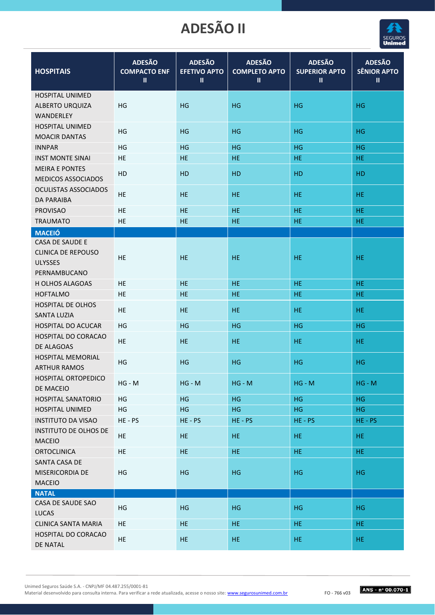

| <b>HOSPITAIS</b>                                                               | <b>ADESÃO</b><br><b>COMPACTO ENF</b><br>Ш | <b>ADESÃO</b><br><b>EFETIVO APTO</b><br>$\mathbf{II}$ | <b>ADESÃO</b><br><b>COMPLETO APTO</b><br>Ш | <b>ADESÃO</b><br><b>SUPERIOR APTO</b><br>$\mathbf{  }$ | <b>ADESÃO</b><br><b>SÊNIOR APTO</b><br>$\mathbf{II}$ |
|--------------------------------------------------------------------------------|-------------------------------------------|-------------------------------------------------------|--------------------------------------------|--------------------------------------------------------|------------------------------------------------------|
| <b>HOSPITAL UNIMED</b><br>ALBERTO URQUIZA<br>WANDERLEY                         | HG                                        | HG                                                    | HG                                         | HG                                                     | HG                                                   |
| <b>HOSPITAL UNIMED</b><br><b>MOACIR DANTAS</b>                                 | HG                                        | HG                                                    | HG                                         | HG.                                                    | HG                                                   |
| <b>INNPAR</b>                                                                  | ΗG                                        | HG                                                    | HG                                         | HG.                                                    | HG                                                   |
| <b>INST MONTE SINAI</b>                                                        | HE                                        | <b>HE</b>                                             | HE.                                        | HE.                                                    | HE.                                                  |
| <b>MEIRA E PONTES</b><br>MEDICOS ASSOCIADOS                                    | HD                                        | HD                                                    | HD                                         | HD                                                     | HD                                                   |
| <b>OCULISTAS ASSOCIADOS</b><br><b>DA PARAIBA</b>                               | HE                                        | <b>HE</b>                                             | <b>HE</b>                                  | <b>HE</b>                                              | <b>HE</b>                                            |
| <b>PROVISAO</b>                                                                | HE                                        | <b>HE</b>                                             | HE                                         | HE.                                                    | <b>HE</b>                                            |
| <b>TRAUMATO</b>                                                                | HE                                        | HE                                                    | HE                                         | HE.                                                    | HE                                                   |
| <b>MACEIÓ</b>                                                                  |                                           |                                                       |                                            |                                                        |                                                      |
| CASA DE SAUDE E<br><b>CLINICA DE REPOUSO</b><br><b>ULYSSES</b><br>PERNAMBUCANO | HE                                        | <b>HE</b>                                             | <b>HE</b>                                  | HE.                                                    | <b>HE</b>                                            |
| H OLHOS ALAGOAS                                                                | HE                                        | <b>HE</b>                                             | <b>HE</b>                                  | HE.                                                    | HE.                                                  |
| <b>HOFTALMO</b>                                                                | <b>HE</b>                                 | <b>HE</b>                                             | <b>HE</b>                                  | <b>HE</b>                                              | HE.                                                  |
| <b>HOSPITAL DE OLHOS</b><br><b>SANTA LUZIA</b>                                 | HE                                        | <b>HE</b>                                             | <b>HE</b>                                  | HE.                                                    | HE.                                                  |
| <b>HOSPITAL DO ACUCAR</b>                                                      | HG                                        | HG                                                    | HG                                         | HG                                                     | HG                                                   |
| <b>HOSPITAL DO CORACAO</b><br>DE ALAGOAS                                       | HE                                        | <b>HE</b>                                             | <b>HE</b>                                  | HE.                                                    | HE                                                   |
| <b>HOSPITAL MEMORIAL</b><br><b>ARTHUR RAMOS</b>                                | HG                                        | HG                                                    | HG                                         | HG.                                                    | HG                                                   |
| HOSPITAL ORTOPEDICO<br>DE MACEIO                                               | $HG - M$                                  | $HG - M$                                              | $HG - M$                                   | $HG - M$                                               | $HG - M$                                             |
| <b>HOSPITAL SANATORIO</b>                                                      | HG                                        | HG                                                    | HG                                         | <b>HG</b>                                              | <b>HG</b>                                            |
| HOSPITAL UNIMED                                                                | HG                                        | HG                                                    | HG                                         | HG                                                     | HG                                                   |
| <b>INSTITUTO DA VISAO</b>                                                      | HE-PS                                     | $HE - PS$                                             | HE-PS                                      | HE-PS                                                  | $HE - PS$                                            |
| <b>INSTITUTO DE OLHOS DE</b><br><b>MACEIO</b>                                  | HE                                        | HE.                                                   | HE.                                        | HE                                                     | HE.                                                  |
| <b>ORTOCLINICA</b>                                                             | HE.                                       | HE.                                                   | <b>HE</b>                                  | HE                                                     | HE.                                                  |
| SANTA CASA DE<br>MISERICORDIA DE<br>MACEIO                                     | HG                                        | HG                                                    | HG                                         | HG.                                                    | HG                                                   |
| <b>NATAL</b>                                                                   |                                           |                                                       |                                            |                                                        |                                                      |
| CASA DE SAUDE SAO<br><b>LUCAS</b>                                              | HG                                        | HG                                                    | HG                                         | HG                                                     | HG                                                   |
| <b>CLINICA SANTA MARIA</b>                                                     | <b>HE</b>                                 | HE                                                    | <b>HE</b>                                  | HE                                                     | HE                                                   |
| HOSPITAL DO CORACAO<br>DE NATAL                                                | HE.                                       | HE.                                                   | HE.                                        | HE.                                                    | HE.                                                  |

Unimed Seguros Saúde S.A. - CNPJ/MF 04.487.255/0001-81

Material desenvolvido para consulta interna. Para verificar a rede atualizada, acesse o nosso site[: www.segurosunimed.com.br](http://www.segurosunimed.com.br/)FO - 766 v03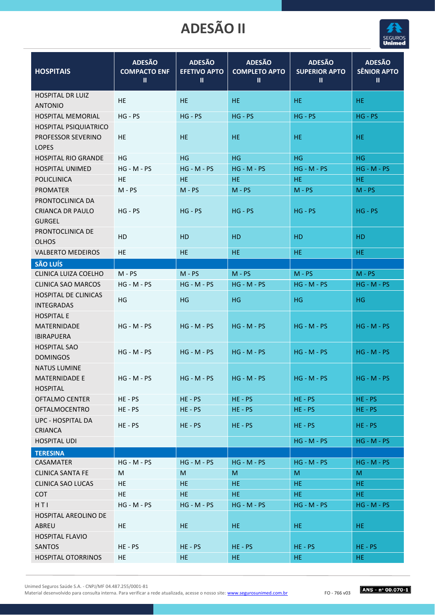

| <b>HOSPITAIS</b>                                             | <b>ADESÃO</b><br><b>COMPACTO ENF</b><br>Ш | <b>ADESÃO</b><br><b>EFETIVO APTO</b><br>Ш | <b>ADESÃO</b><br><b>COMPLETO APTO</b><br>Ш | <b>ADESÃO</b><br><b>SUPERIOR APTO</b><br>Ш | <b>ADESÃO</b><br><b>SÊNIOR APTO</b><br>Ш |
|--------------------------------------------------------------|-------------------------------------------|-------------------------------------------|--------------------------------------------|--------------------------------------------|------------------------------------------|
| <b>HOSPITAL DR LUIZ</b><br><b>ANTONIO</b>                    | HE                                        | <b>HE</b>                                 | HE.                                        | HE.                                        | HE.                                      |
| <b>HOSPITAL MEMORIAL</b>                                     | $HG - PS$                                 | $HG - PS$                                 | $HG - PS$                                  | $HG - PS$                                  | $HG - PS$                                |
| HOSPITAL PSIQUIATRICO<br>PROFESSOR SEVERINO<br><b>LOPES</b>  | HE.                                       | HE.                                       | HE.                                        | HE.                                        | HE.                                      |
| <b>HOSPITAL RIO GRANDE</b>                                   | HG                                        | HG                                        | <b>HG</b>                                  | <b>HG</b>                                  | <b>HG</b>                                |
| <b>HOSPITAL UNIMED</b>                                       | $HG - M - PS$                             | $HG - M - PS$                             | $HG - M - PS$                              | $HG - M - PS$                              | $HG - M - PS$                            |
| <b>POLICLINICA</b>                                           | HE                                        | HE                                        | HE.                                        | HE.                                        | HE.                                      |
| <b>PROMATER</b>                                              | $M - PS$                                  | $M - PS$                                  | $M - PS$                                   | $M - PS$                                   | $M - PS$                                 |
| PRONTOCLINICA DA<br><b>CRIANCA DR PAULO</b><br><b>GURGEL</b> | $HG - PS$                                 | $HG - PS$                                 | $HG - PS$                                  | $HG - PS$                                  | $HG - PS$                                |
| PRONTOCLINICA DE<br><b>OLHOS</b>                             | HD                                        | HD                                        | <b>HD</b>                                  | HD                                         | HD                                       |
| <b>VALBERTO MEDEIROS</b>                                     | HE                                        | <b>HE</b>                                 | HE.                                        | HE.                                        | HE.                                      |
| <b>SÃO LUÍS</b>                                              |                                           |                                           |                                            |                                            |                                          |
| CLINICA LUIZA COELHO                                         | $M - PS$                                  | $M - PS$                                  | $M - PS$                                   | $M - PS$                                   | $M - PS$                                 |
| <b>CLINICA SAO MARCOS</b>                                    | $HG - M - PS$                             | $HG - M - PS$                             | $HG - M - PS$                              | $HG - M - PS$                              | $HG - M - PS$                            |
| <b>HOSPITAL DE CLINICAS</b><br><b>INTEGRADAS</b>             | HG                                        | HG                                        | HG                                         | HG                                         | HG                                       |
| <b>HOSPITAL E</b><br>MATERNIDADE<br><b>IBIRAPUERA</b>        | $HG - M - PS$                             | $HG - M - PS$                             | $HG - M - PS$                              | $HG - M - PS$                              | $HG - M - PS$                            |
| <b>HOSPITAL SAO</b><br><b>DOMINGOS</b>                       | $HG - M - PS$                             | $HG - M - PS$                             | $HG - M - PS$                              | $HG - M - PS$                              | $HG - M - PS$                            |
| <b>NATUS LUMINE</b><br>MATERNIDADE E<br><b>HOSPITAL</b>      | $HG - M - PS$                             | $HG - M - PS$                             | $HG - M - PS$                              | $HG - M - PS$                              | $HG - M - PS$                            |
| <b>OFTALMO CENTER</b>                                        | HE-PS                                     | $HE - PS$                                 | $HE - PS$                                  | $HE - PS$                                  | $HE - PS$                                |
| <b>OFTALMOCENTRO</b>                                         | $HE - PS$                                 | $HE - PS$                                 | $HE - PS$                                  | $HE - PS$                                  | $HE - PS$                                |
| <b>UPC - HOSPITAL DA</b><br>CRIANCA                          | HE-PS                                     | $HE - PS$                                 | $HE - PS$                                  | $HE - PS$                                  | $HE - PS$                                |
| <b>HOSPITAL UDI</b>                                          |                                           |                                           |                                            | $HG - M - PS$                              | $HG - M - PS$                            |
| <b>TERESINA</b>                                              |                                           |                                           |                                            |                                            |                                          |
| CASAMATER                                                    | $HG - M - PS$                             | $HG - M - PS$                             | $HG - M - PS$                              | $HG - M - PS$                              | $HG - M - PS$                            |
| <b>CLINICA SANTA FE</b>                                      | M                                         | M                                         | M                                          | M                                          | M                                        |
| <b>CLINICA SAO LUCAS</b>                                     | <b>HE</b>                                 | HE.                                       | HE.                                        | HE.                                        | HE                                       |
| <b>COT</b>                                                   | HE                                        | <b>HE</b>                                 | <b>HE</b>                                  | HE.                                        | HE.                                      |
| HTI                                                          | $HG - M - PS$                             | $HG - M - PS$                             | $HG - M - PS$                              | $HG - M - PS$                              | $HG - M - PS$                            |
| <b>HOSPITAL AREOLINO DE</b><br>ABREU                         | HE.                                       | <b>HE</b>                                 | HE.                                        | HE.                                        | HE.                                      |
| <b>HOSPITAL FLAVIO</b><br><b>SANTOS</b>                      | HE-PS                                     | $HE - PS$                                 | $HE - PS$                                  | $HE - PS$                                  | $HE - PS$                                |
| <b>HOSPITAL OTORRINOS</b>                                    | HE.                                       | HE                                        | HE.                                        | HE.                                        | HE.                                      |

Unimed Seguros Saúde S.A. - CNPJ/MF 04.487.255/0001-81

Material desenvolvido para consulta interna. Para verificar a rede atualizada, acesse o nosso site[: www.segurosunimed.com.br](http://www.segurosunimed.com.br/)FO - 766 v03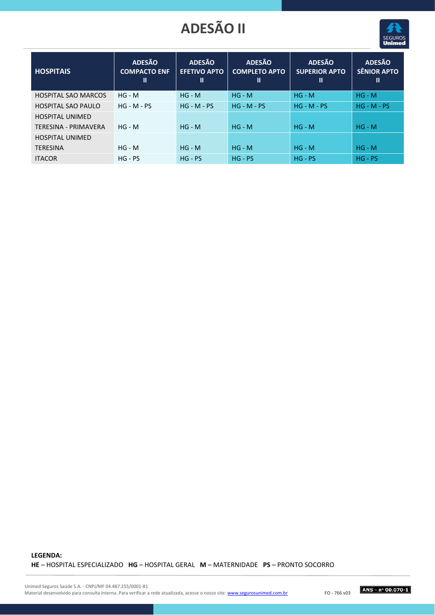

| <b>HOSPITAIS</b>            | <b>ADESÃO</b><br><b>COMPACTO ENF</b><br>Ш | <b>ADESÃO</b><br><b>EFETIVO APTO</b><br>$\mathbf{I}$ | <b>ADESÃO</b><br><b>COMPLETO APTO</b><br>Ш | <b>ADESÃO</b><br><b>SUPERIOR APTO</b><br>Ш | <b>ADESÃO</b><br><b>SÊNIOR APTO</b><br>$\mathbf{I}$ |
|-----------------------------|-------------------------------------------|------------------------------------------------------|--------------------------------------------|--------------------------------------------|-----------------------------------------------------|
| <b>HOSPITAL SAO MARCOS</b>  | $HG - M$                                  | $HG - M$                                             | $HG - M$                                   | $HG - M$                                   | $HG - M$                                            |
| <b>HOSPITAL SAO PAULO</b>   | $HG - M - PS$                             | $HG - M - PS$                                        | $HG - M - PS$                              | $HG - M - PS$                              | $HG - M - PS$                                       |
| <b>HOSPITAL UNIMED</b>      |                                           |                                                      |                                            |                                            |                                                     |
| <b>TERESINA - PRIMAVERA</b> | $HG - M$                                  | $HG - M$                                             | $HG - M$                                   | $HG - M$                                   | $HG - M$                                            |
| <b>HOSPITAL UNIMED</b>      |                                           |                                                      |                                            |                                            |                                                     |
| <b>TERESINA</b>             | $HG - M$                                  | $HG - M$                                             | $HG - M$                                   | $HG - M$                                   | $HG - M$                                            |
| <b>ITACOR</b>               | $HG - PS$                                 | $HG - PS$                                            | $HG - PS$                                  | $HG - PS$                                  | $HG - PS$                                           |

#### **LEGENDA: HE** – HOSPITAL ESPECIALIZADO **HG** – HOSPITAL GERAL **M** – MATERNIDADE **PS** – PRONTO SOCORRO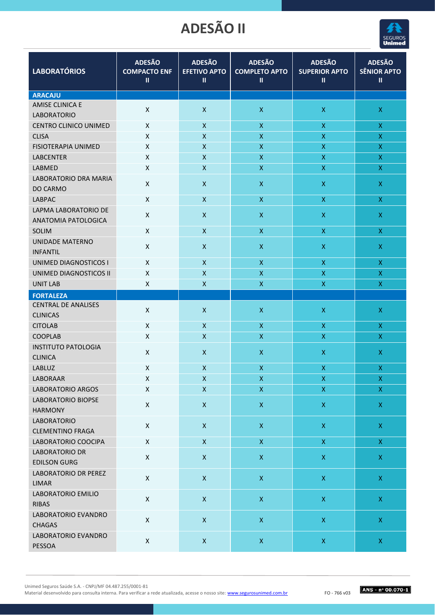

| <b>LABORATÓRIOS</b>                             | <b>ADESÃO</b><br><b>COMPACTO ENF</b><br>Ш | <b>ADESÃO</b><br><b>EFETIVO APTO</b><br>$\mathbf{I}$ | <b>ADESÃO</b><br><b>COMPLETO APTO</b><br>Ш | <b>ADESÃO</b><br><b>SUPERIOR APTO</b><br>$\mathbf{II}$ | <b>ADESÃO</b><br><b>SÊNIOR APTO</b><br>$\mathbf{II}$ |
|-------------------------------------------------|-------------------------------------------|------------------------------------------------------|--------------------------------------------|--------------------------------------------------------|------------------------------------------------------|
| <b>ARACAJU</b>                                  |                                           |                                                      |                                            |                                                        |                                                      |
| <b>AMISE CLINICA E</b><br><b>LABORATORIO</b>    | $\pmb{\times}$                            | $\pmb{\times}$                                       | $\pmb{\mathsf{X}}$                         | $\pmb{\mathsf{X}}$                                     | $\mathsf X$                                          |
| <b>CENTRO CLINICO UNIMED</b>                    | X                                         | $\pmb{\mathsf{X}}$                                   | $\pmb{\mathsf{X}}$                         | $\mathsf X$                                            | X                                                    |
| <b>CLISA</b>                                    | Χ                                         | $\pmb{\mathsf{X}}$                                   | $\boldsymbol{\mathsf{X}}$                  | $\mathsf X$                                            | $\mathsf X$                                          |
| <b>FISIOTERAPIA UNIMED</b>                      | X                                         | X                                                    | $\mathsf{x}$                               | $\pmb{\mathsf{X}}$                                     | $\pmb{\mathsf{X}}$                                   |
| <b>LABCENTER</b>                                | X                                         | X                                                    | $\boldsymbol{\mathsf{X}}$                  | $\pmb{\mathsf{X}}$                                     | $\mathsf X$                                          |
| LABMED                                          | X                                         | X                                                    | X                                          | $\boldsymbol{\mathsf{X}}$                              | $\pmb{\mathsf{X}}$                                   |
| <b>LABORATORIO DRA MARIA</b><br><b>DO CARMO</b> | X                                         | X                                                    | $\mathsf{X}$                               | $\pmb{\mathsf{X}}$                                     | $\mathsf X$                                          |
| <b>LABPAC</b>                                   | $\pmb{\times}$                            | X                                                    | $\boldsymbol{\mathsf{X}}$                  | $\mathsf{X}$                                           | $\mathsf{X}$                                         |
| LAPMA LABORATORIO DE<br>ANATOMIA PATOLOGICA     | Χ                                         | $\pmb{\mathsf{X}}$                                   | $\pmb{\mathsf{X}}$                         | $\mathsf X$                                            | $\mathsf X$                                          |
| SOLIM                                           | $\mathsf{x}$                              | X                                                    | $\mathsf X$                                | $\mathsf X$                                            | $\mathsf{X}$                                         |
| <b>UNIDADE MATERNO</b><br><b>INFANTIL</b>       | $\pmb{\times}$                            | X                                                    | $\boldsymbol{\mathsf{X}}$                  | $\pmb{\mathsf{X}}$                                     | $\mathsf X$                                          |
| UNIMED DIAGNOSTICOS I                           | X                                         | X                                                    | $\boldsymbol{\mathsf{X}}$                  | X                                                      | X                                                    |
| UNIMED DIAGNOSTICOS II                          | X                                         | X                                                    | X                                          | $\boldsymbol{\mathsf{X}}$                              | $\pmb{\mathsf{X}}$                                   |
| <b>UNIT LAB</b>                                 | X                                         | X                                                    | $\pmb{\mathsf{X}}$                         | $\mathsf X$                                            | X                                                    |
| <b>FORTALEZA</b>                                |                                           |                                                      |                                            |                                                        |                                                      |
| <b>CENTRAL DE ANALISES</b><br><b>CLINICAS</b>   | X                                         | $\mathsf{X}$                                         | $\pmb{\mathsf{X}}$                         | $\mathsf X$                                            | $\mathsf X$                                          |
| <b>CITOLAB</b>                                  | X                                         | X                                                    | $\boldsymbol{X}$                           | X                                                      | X                                                    |
| <b>COOPLAB</b>                                  | X                                         | X                                                    | $\pmb{\mathsf{X}}$                         | $\mathsf X$                                            | X                                                    |
| <b>INSTITUTO PATOLOGIA</b><br><b>CLINICA</b>    | X                                         | X                                                    | $\pmb{\mathsf{X}}$                         | $\pmb{\mathsf{X}}$                                     | $\mathsf X$                                          |
| <b>LABLUZ</b>                                   | X                                         | $\mathsf{x}$                                         | $\boldsymbol{\mathsf{X}}$                  | $\boldsymbol{\mathsf{X}}$                              | $\mathsf X$                                          |
| LABORAAR                                        | X                                         | $\pmb{\mathsf{X}}$                                   | $\pmb{\mathsf{X}}$                         | $\pmb{\mathsf{X}}$                                     | X                                                    |
| <b>LABORATORIO ARGOS</b>                        | $\mathsf X$                               | $\pmb{\mathsf{X}}$                                   | $\mathsf X$                                | $\mathsf X$                                            | $\mathsf X$                                          |
| LABORATORIO BIOPSE<br><b>HARMONY</b>            | $\pmb{\times}$                            | $\mathsf{X}$                                         | $\mathsf X$                                | $\mathsf X$                                            | $\mathsf X$                                          |
| <b>LABORATORIO</b><br><b>CLEMENTINO FRAGA</b>   | $\pmb{\times}$                            | $\pmb{\mathsf{X}}$                                   | $\mathsf{X}$                               | $\mathsf X$                                            | $\mathsf X$                                          |
| LABORATORIO COOCIPA                             | $\mathsf X$                               | $\mathsf X$                                          | $\mathsf X$                                | $\mathsf X$                                            | $\mathsf X$                                          |
| <b>LABORATORIO DR</b><br><b>EDILSON GURG</b>    | $\mathsf X$                               | $\mathsf X$                                          | $\mathsf X$                                | $\mathsf X$                                            | $\mathsf{X}$                                         |
| LABORATORIO DR PEREZ<br><b>LIMAR</b>            | $\pmb{\times}$                            | $\mathsf X$                                          | $\mathsf X$                                | $\mathsf X$                                            | $\mathsf X$                                          |
| LABORATORIO EMILIO<br><b>RIBAS</b>              | $\mathsf X$                               | $\mathsf{X}$                                         | $\mathsf X$                                | $\bar{\mathsf{X}}$                                     | $\mathsf{X}$                                         |
| LABORATORIO EVANDRO<br><b>CHAGAS</b>            | $\pmb{\times}$                            | $\mathsf{X}$                                         | $\mathsf X$                                | $\mathsf X$                                            | $\mathsf X$                                          |
| LABORATORIO EVANDRO<br>PESSOA                   | $\mathsf X$                               | $\mathsf X$                                          | $\mathsf X$                                | $\mathsf X$                                            | $\mathsf{X}^-$                                       |
|                                                 |                                           |                                                      |                                            |                                                        |                                                      |

Unimed Seguros Saúde S.A. - CNPJ/MF 04.487.255/0001-81

Material desenvolvido para consulta interna. Para verificar a rede atualizada, acesse o nosso site: www.segurosunimed.com.br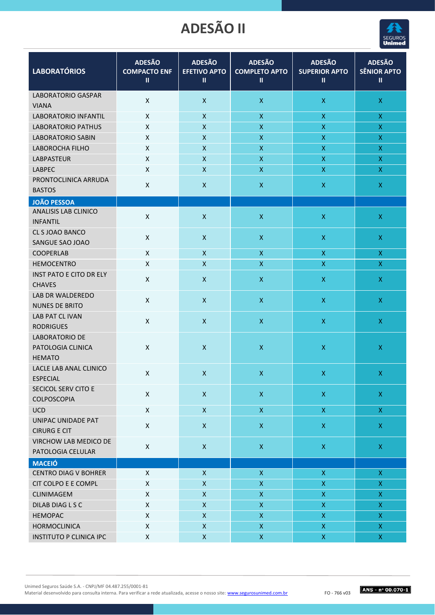

| <b>LABORATÓRIOS</b>                          | <b>ADESÃO</b><br><b>COMPACTO ENF</b> | <b>ADESÃO</b><br><b>EFETIVO APTO</b> | <b>ADESÃO</b><br><b>COMPLETO APTO</b> | <b>ADESÃO</b><br><b>SUPERIOR APTO</b> | <b>ADESÃO</b><br><b>SÊNIOR APTO</b> |
|----------------------------------------------|--------------------------------------|--------------------------------------|---------------------------------------|---------------------------------------|-------------------------------------|
|                                              | $\mathbf{II}$                        | $\rm{II}$                            | $\rm II$                              | $\mathbf{II}$                         | $\mathbf{II}$                       |
| <b>LABORATORIO GASPAR</b>                    |                                      |                                      |                                       |                                       |                                     |
| <b>VIANA</b>                                 | $\pmb{\mathsf{X}}$                   | $\pmb{\mathsf{X}}$                   | $\mathsf X$                           | $\mathsf X$                           | $\mathsf X$                         |
| <b>LABORATORIO INFANTIL</b>                  | X                                    | $\pmb{\mathsf{X}}$                   | $\mathsf X$                           | $\pmb{\mathsf{X}}$                    | $\mathsf X$                         |
| <b>LABORATORIO PATHUS</b>                    | $\pmb{\mathsf{X}}$                   | X                                    | $\pmb{\mathsf{X}}$                    | $\pmb{\mathsf{X}}$                    | $\bar{\mathsf{X}}$                  |
| <b>LABORATORIO SABIN</b>                     | $\pmb{\mathsf{X}}$                   | $\pmb{\mathsf{X}}$                   | $\pmb{\mathsf{X}}$                    | $\mathsf X$                           | $\mathsf X$                         |
| LABOROCHA FILHO                              | X                                    | $\pmb{\mathsf{X}}$                   | $\pmb{\mathsf{X}}$                    | $\mathsf X$                           | $\mathsf X$                         |
| <b>LABPASTEUR</b>                            | $\pmb{\mathsf{X}}$                   | $\mathsf{x}$                         | $\mathsf X$                           | $\mathsf X$                           | $\mathsf X$                         |
| <b>LABPEC</b>                                | X                                    | $\pmb{\mathsf{X}}$                   | $\pmb{\mathsf{X}}$                    | $\mathsf X$                           | $\mathsf X$                         |
| PRONTOCLINICA ARRUDA                         | $\pmb{\mathsf{X}}$                   | $\pmb{\mathsf{X}}$                   | $\pmb{\mathsf{X}}$                    | $\mathsf X$                           | $\mathsf X$                         |
| <b>BASTOS</b>                                |                                      |                                      |                                       |                                       |                                     |
| <b>JOÃO PESSOA</b>                           |                                      |                                      |                                       |                                       |                                     |
| ANALISIS LAB CLINICO                         | $\pmb{\mathsf{X}}$                   | $\pmb{\mathsf{X}}$                   | $\mathsf X$                           | $\mathsf X$                           | $\mathsf X$                         |
| <b>INFANTIL</b>                              |                                      |                                      |                                       |                                       |                                     |
| CL S JOAO BANCO<br>SANGUE SAO JOAO           | $\pmb{\mathsf{X}}$                   | $\pmb{\mathsf{X}}$                   | $\mathsf X$                           | $\mathsf X$                           | $\mathsf X$                         |
| <b>COOPERLAB</b>                             | $\pmb{\mathsf{X}}$                   | $\pmb{\mathsf{X}}$                   | $\mathsf X$                           | $\mathsf X$                           | $\mathsf X$                         |
| <b>HEMOCENTRO</b>                            | $\pmb{\mathsf{X}}$                   | $\pmb{\mathsf{X}}$                   | $\mathsf X$                           | $\mathsf{X}$                          | $\mathsf X$                         |
| <b>INST PATO E CITO DR ELY</b>               |                                      |                                      |                                       |                                       |                                     |
| <b>CHAVES</b>                                | X                                    | $\pmb{\mathsf{X}}$                   | $\boldsymbol{\mathsf{X}}$             | $\mathsf X$                           | $\mathsf X$                         |
| LAB DR WALDEREDO                             |                                      |                                      |                                       |                                       |                                     |
| <b>NUNES DE BRITO</b>                        | $\pmb{\mathsf{X}}$                   | $\pmb{\mathsf{X}}$                   | $\boldsymbol{\mathsf{X}}$             | $\pmb{\mathsf{X}}$                    | $\mathsf X$                         |
| LAB PAT CL IVAN                              |                                      |                                      |                                       |                                       |                                     |
| <b>RODRIGUES</b>                             | $\pmb{\mathsf{X}}$                   | $\pmb{\mathsf{X}}$                   | $\boldsymbol{\mathsf{X}}$             | $\mathsf X$                           | $\mathsf{X}$                        |
| <b>LABORATORIO DE</b>                        |                                      |                                      |                                       |                                       |                                     |
| PATOLOGIA CLINICA                            | $\pmb{\mathsf{X}}$                   | $\pmb{\mathsf{X}}$                   | $\mathsf X$                           | $\pmb{\mathsf{X}}$                    | $\mathsf X$                         |
| <b>HEMATO</b>                                |                                      |                                      |                                       |                                       |                                     |
| LACLE LAB ANAL CLINICO                       | X                                    | $\pmb{\mathsf{X}}$                   | $\boldsymbol{\mathsf{X}}$             | $\mathsf{X}$                          | $\mathsf{X}$                        |
| <b>ESPECIAL</b>                              |                                      |                                      |                                       |                                       |                                     |
| SECICOL SERV CITO E                          | $\pmb{\mathsf{X}}$                   | $\pmb{\mathsf{X}}$                   | $\boldsymbol{\mathsf{X}}$             | $\mathsf X$                           | $\mathsf X$                         |
| COLPOSCOPIA                                  |                                      |                                      |                                       |                                       |                                     |
| <b>UCD</b>                                   | $\pmb{\mathsf{X}}$                   | $\mathsf X$                          | $\mathsf X$                           | $\mathsf X$                           | $\mathsf X$                         |
| UNIPAC UNIDADE PAT                           | X                                    | $\pmb{\mathsf{X}}$                   | $\mathsf X$                           | $\mathsf X$                           | $\mathsf X$                         |
| <b>CIRURG E CIT</b><br>VIRCHOW LAB MEDICO DE |                                      |                                      |                                       |                                       |                                     |
| PATOLOGIA CELULAR                            | $\pmb{\mathsf{X}}$                   | $\mathsf X$                          | $\mathsf X$                           | $\mathsf X$                           | $\bar{\mathsf{X}}$                  |
| <b>MACEIÓ</b>                                |                                      |                                      |                                       |                                       |                                     |
| <b>CENTRO DIAG V BOHRER</b>                  | $\pmb{\mathsf{X}}$                   | $\mathsf{X}$                         | $\mathsf X$                           | $\boldsymbol{\mathsf{X}}$             | $\mathsf X$                         |
| CIT COLPO E E COMPL                          | $\pmb{\mathsf{X}}$                   | $\mathsf X$                          | $\mathsf X$                           | $\mathsf{X}$                          | $\mathsf X$                         |
| CLINIMAGEM                                   | $\pmb{\mathsf{X}}$                   | $\pmb{\mathsf{X}}$                   | $\mathsf X$                           | $\mathsf X$                           | $\mathsf X$                         |
| DILAB DIAG L S C                             | X                                    | $\pmb{\mathsf{X}}$                   | $\mathsf X$                           | $\mathsf X$                           | $\mathsf X$                         |
| <b>HEMOPAC</b>                               | $\pmb{\mathsf{X}}$                   | $\pmb{\mathsf{X}}$                   | $\mathsf X$                           | $\mathsf X$                           | X                                   |
| <b>HORMOCLINICA</b>                          | $\pmb{\mathsf{X}}$                   | $\mathsf X$                          | $\mathsf X$                           | $\mathsf X$                           | $\mathsf X$                         |
| <b>INSTITUTO P CLINICA IPC</b>               | $\pmb{\mathsf{X}}$                   | $\pmb{\mathsf{X}}$                   | $\mathsf X$                           | $\mathsf X$                           | X.                                  |

Unimed Seguros Saúde S.A. - CNPJ/MF 04.487.255/0001-81

Material desenvolvido para consulta interna. Para verificar a rede atualizada, acesse o nosso site: www.segurosunimed.com.br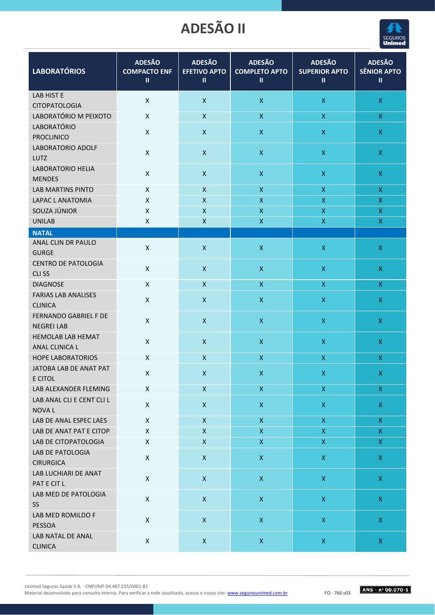

| <b>LABORATÓRIOS</b>                          | <b>ADESÃO</b><br><b>COMPACTO ENF</b><br>$\mathbf{II}$ | <b>ADESÃO</b><br><b>EFETIVO APTO</b><br>$\mathsf{II}$ | <b>ADESÃO</b><br><b>COMPLETO APTO</b><br>$\mathbf{II}$ | <b>ADESÃO</b><br><b>SUPERIOR APTO</b><br>$\mathbf{II}$ | <b>ADESÃO</b><br><b>SÊNIOR APTO</b><br>$\mathbf{II}$ |
|----------------------------------------------|-------------------------------------------------------|-------------------------------------------------------|--------------------------------------------------------|--------------------------------------------------------|------------------------------------------------------|
| <b>LAB HIST E</b>                            | $\pmb{\mathsf{X}}$                                    | $\pmb{\times}$                                        | $\pmb{\mathsf{X}}$                                     | $\mathsf X$                                            | $\mathsf X$                                          |
| <b>CITOPATOLOGIA</b>                         |                                                       |                                                       |                                                        |                                                        |                                                      |
| LABORATÓRIO M PEIXOTO                        | X                                                     | $\pmb{\mathsf{X}}$                                    | $\mathsf X$                                            | $\mathsf X$                                            | $\mathsf X$                                          |
| LABORATÓRIO<br><b>PROCLINICO</b>             | $\pmb{\mathsf{X}}$                                    | $\pmb{\times}$                                        | $\pmb{\mathsf{X}}$                                     | $\mathsf X$                                            | $\mathsf X$                                          |
| LABORATORIO ADOLF                            |                                                       |                                                       |                                                        |                                                        |                                                      |
| <b>LUTZ</b>                                  | $\pmb{\mathsf{X}}$                                    | $\pmb{\times}$                                        | $\mathsf X$                                            | $\mathsf X$                                            | $\mathsf X$                                          |
| LABORATORIO HELIA                            |                                                       |                                                       |                                                        |                                                        |                                                      |
| <b>MENDES</b>                                | $\pmb{\mathsf{X}}$                                    | $\pmb{\mathsf{X}}$                                    | $\pmb{\mathsf{X}}$                                     | $\mathsf X$                                            | $\mathsf X$                                          |
| <b>LAB MARTINS PINTO</b>                     | $\pmb{\mathsf{X}}$                                    | $\pmb{\mathsf{X}}$                                    | $\mathsf{X}$                                           | $\mathsf{X}$                                           | $\mathsf X$                                          |
| LAPAC L ANATOMIA                             | X                                                     | $\pmb{\mathsf{X}}$                                    | $\pmb{\mathsf{X}}$                                     | $\mathsf X$                                            | $\bar{\mathsf{X}}$                                   |
| SOUZA JÚNIOR                                 | X                                                     | $\pmb{\mathsf{X}}$                                    | $\mathsf{X}$                                           | $\mathsf X$                                            | $\mathsf X$                                          |
| <b>UNILAB</b>                                | $\pmb{\mathsf{X}}$                                    | $\pmb{\mathsf{X}}$                                    | $\mathsf X$                                            | $\mathsf X$                                            | $\mathsf X$                                          |
| <b>NATAL</b>                                 |                                                       |                                                       |                                                        |                                                        |                                                      |
| ANAL CLIN DR PAULO<br><b>GURGE</b>           | X                                                     | $\pmb{\times}$                                        | $\mathsf{X}$                                           | $\pmb{\mathsf{X}}$                                     | $\mathsf X$                                          |
| <b>CENTRO DE PATOLOGIA</b>                   | $\pmb{\times}$                                        | $\boldsymbol{X}$                                      | $\mathsf{X}$                                           | $\mathsf X$                                            | $\mathsf X$                                          |
| CLI <sub>SS</sub>                            |                                                       |                                                       |                                                        |                                                        |                                                      |
| <b>DIAGNOSE</b>                              | $\pmb{\mathsf{X}}$                                    | $\pmb{\mathsf{X}}$                                    | $\mathsf X$                                            | $\mathsf X$                                            | $\mathsf X$                                          |
| <b>FARIAS LAB ANALISES</b><br><b>CLINICA</b> | $\pmb{\mathsf{X}}$                                    | $\pmb{\times}$                                        | $\mathsf{X}$                                           | $\mathsf X$                                            | $\mathsf X$                                          |
| FERNANDO GABRIEL F DE<br><b>NEGREI LAB</b>   | $\mathsf{X}$                                          | $\pmb{\times}$                                        | $\mathsf{X}$                                           | $\mathsf X$                                            | $\mathsf X$                                          |
| <b>HEMOLAB LAB HEMAT</b><br>ANAL CLINICA L   | $\pmb{\mathsf{X}}$                                    | $\pmb{\times}$                                        | $\pmb{\mathsf{X}}$                                     | $\pmb{\mathsf{X}}$                                     | $\mathsf X$                                          |
| <b>HOPE LABORATORIOS</b>                     | X                                                     | $\mathsf{x}$                                          | $\mathsf{X}$                                           | $\boldsymbol{\mathsf{X}}$                              | $\mathsf X$                                          |
| JATOBA LAB DE ANAT PAT<br>E CITOL            | X                                                     | $\boldsymbol{\mathsf{X}}$                             | $\boldsymbol{\mathsf{X}}$                              | $\mathsf{X}$                                           | $\mathsf{X}$                                         |
| LAB ALEXANDER FLEMING                        | X                                                     | $\mathsf X$                                           | $\mathsf X$                                            | $\mathsf X$                                            | $\mathsf X$                                          |
| LAB ANAL CLI E CENT CLI L<br>NOVA L          | X                                                     | $\pmb{\mathsf{X}}$                                    | $\mathsf X$                                            | $\mathsf X$                                            | $\mathsf X$                                          |
| LAB DE ANAL ESPEC LAES                       | $\pmb{\mathsf{X}}$                                    | $\mathsf X$                                           | $\mathsf X$                                            | $\mathsf{X}$                                           | $\mathsf X$                                          |
| LAB DE ANAT PAT E CITOP                      | $\pmb{\mathsf{X}}$                                    | $\mathsf X$                                           | $\mathsf X$                                            | $\mathsf X$                                            | $\mathsf X$                                          |
| LAB DE CITOPATOLOGIA                         | Χ                                                     | $\pmb{\mathsf{X}}$                                    | $\mathsf X$                                            | $\mathsf X$                                            | $\mathsf X$                                          |
| LAB DE PATOLOGIA<br><b>CIRURGICA</b>         | X                                                     | $\mathsf X$                                           | $\mathsf X$                                            | $\mathsf X$                                            | $\mathsf X$                                          |
| LAB LUCHIARI DE ANAT<br>PAT E CIT L          | $\mathsf X$                                           | $\pmb{\mathsf{X}}$                                    | $\mathsf X$                                            | $\mathsf X$                                            | $\mathsf X$                                          |
| LAB MED DE PATOLOGIA<br><b>SS</b>            | $\mathsf X$                                           | $\pmb{\mathsf{X}}$                                    | $\mathsf X$                                            | $\mathsf X$                                            | $\mathsf X$                                          |
| LAB MED ROMILDO F<br>PESSOA                  | $\mathsf X$                                           | $\mathsf X$                                           | $\mathsf X$                                            | $\mathsf X$                                            | $\mathsf X$                                          |
| LAB NATAL DE ANAL<br><b>CLINICA</b>          | $\mathsf X$                                           | $\mathsf X$                                           | $\mathsf X$                                            | $\mathsf X$                                            | $\mathsf{X}$                                         |
|                                              |                                                       |                                                       |                                                        |                                                        |                                                      |

Unimed Seguros Saúde S.A. - CNPJ/MF 04.487.255/0001-81

Material desenvolvido para consulta interna. Para verificar a rede atualizada, acesse o nosso site: www.segurosunimed.com.br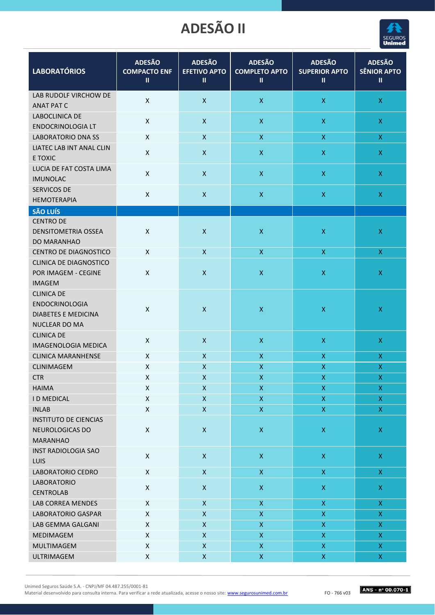

| <b>LABORATÓRIOS</b>                                                                | <b>ADESÃO</b><br><b>COMPACTO ENF</b><br>Ш | <b>ADESÃO</b><br><b>EFETIVO APTO</b><br>Ш | <b>ADESÃO</b><br><b>COMPLETO APTO</b><br>$\mathbf{u}$ | <b>ADESÃO</b><br><b>SUPERIOR APTO</b><br>$\mathbf{II}$ | <b>ADESÃO</b><br><b>SÊNIOR APTO</b><br>$\mathbf{I}$ |
|------------------------------------------------------------------------------------|-------------------------------------------|-------------------------------------------|-------------------------------------------------------|--------------------------------------------------------|-----------------------------------------------------|
| LAB RUDOLF VIRCHOW DE<br><b>ANAT PAT C</b>                                         | $\pmb{\times}$                            | $\mathsf X$                               | $\mathsf X$                                           | $\mathsf X$                                            | $\mathsf X$                                         |
| LABOCLINICA DE<br>ENDOCRINOLOGIA LT                                                | $\mathsf{X}$                              | $\pmb{\times}$                            | $\pmb{\mathsf{X}}$                                    | $\mathsf X$                                            | $\mathsf X$                                         |
| <b>LABORATORIO DNA SS</b>                                                          | X                                         | $\mathsf X$                               | $\mathsf{X}$                                          | X                                                      | $\mathsf{X}$                                        |
| LIATEC LAB INT ANAL CLIN<br>E TOXIC                                                | $\pmb{\times}$                            | $\mathsf X$                               | $\mathsf{X}$                                          | $\mathsf X$                                            | $\mathsf X$                                         |
| LUCIA DE FAT COSTA LIMA<br><b>IMUNOLAC</b>                                         | $\mathsf{X}$                              | $\mathsf X$                               | $\pmb{\mathsf{X}}$                                    | $\mathsf X$                                            | $\mathsf{X}$                                        |
| SERVICOS DE<br><b>HEMOTERAPIA</b>                                                  | $\mathsf{X}$                              | X                                         | $\pmb{\mathsf{X}}$                                    | $\mathsf X$                                            | $\mathsf X$                                         |
| <b>SÃO LUÍS</b>                                                                    |                                           |                                           |                                                       |                                                        |                                                     |
| <b>CENTRO DE</b><br><b>DENSITOMETRIA OSSEA</b><br>DO MARANHAO                      | $\mathsf{x}$                              | $\pmb{\times}$                            | $\mathsf X$                                           | $\pmb{\mathsf{X}}$                                     | $\mathsf X$                                         |
| <b>CENTRO DE DIAGNOSTICO</b>                                                       | X                                         | X                                         | $\mathsf{X}$                                          | X                                                      | $\mathsf{X}$                                        |
| <b>CLINICA DE DIAGNOSTICO</b><br>POR IMAGEM - CEGINE<br><b>IMAGEM</b>              | X                                         | $\mathsf{X}$                              | $\mathsf{X}$                                          | $\mathsf X$                                            | $\mathsf X$                                         |
| <b>CLINICA DE</b><br>ENDOCRINOLOGIA<br><b>DIABETES E MEDICINA</b><br>NUCLEAR DO MA | X                                         | X                                         | $\pmb{\mathsf{X}}$                                    | $\pmb{\mathsf{X}}$                                     | $\mathsf X$                                         |
| <b>CLINICA DE</b><br><b>IMAGENOLOGIA MEDICA</b>                                    | $\pmb{\times}$                            | $\pmb{\times}$                            | $\pmb{\mathsf{X}}$                                    | $\mathsf X$                                            | $\mathsf{X}$                                        |
| <b>CLINICA MARANHENSE</b>                                                          | $\pmb{\times}$                            | $\mathsf X$                               | $\mathsf{X}$                                          | $\mathsf{X}$                                           | $\boldsymbol{\mathsf{X}}$                           |
| CLINIMAGEM                                                                         | X                                         | $\pmb{\mathsf{X}}$                        | $\pmb{\mathsf{X}}$                                    | $\mathsf X$                                            | $\pmb{\mathsf{X}}$                                  |
| <b>CTR</b>                                                                         | $\pmb{\mathsf{X}}$                        | X                                         | $\pmb{\mathsf{X}}$                                    | $\pmb{\mathsf{X}}$                                     | X                                                   |
| <b>HAIMA</b>                                                                       | Χ                                         | $\pmb{\mathsf{X}}$                        | $\pmb{\mathsf{X}}$                                    | $\pmb{\mathsf{X}}$                                     | $\mathsf{X}$                                        |
| <b>ID MEDICAL</b>                                                                  | X                                         | $\pmb{\mathsf{X}}$                        | $\pmb{\mathsf{X}}$                                    | X                                                      | $\mathsf X$                                         |
| <b>INLAB</b>                                                                       | Χ                                         | $\pmb{\mathsf{X}}$                        | $\mathsf X$                                           | $\mathsf{X}$                                           | $\mathsf{X}$                                        |
| <b>INSTITUTO DE CIENCIAS</b><br>NEUROLOGICAS DO<br><b>MARANHAO</b>                 | $\mathsf X$                               | $\mathsf X$                               | $\mathsf X$                                           | $\mathsf X$                                            | $\mathsf X$                                         |
| INST RADIOLOGIA SAO<br><b>LUIS</b>                                                 | $\mathsf X$                               | $\mathsf X$                               | $\mathsf X$                                           | $\mathsf X$                                            | $\mathsf X$                                         |
| LABORATORIO CEDRO                                                                  | $\pmb{\mathsf{X}}$                        | $\mathsf X$                               | $\mathsf X$                                           | $\mathsf X$                                            | $\mathsf{X}$                                        |
| <b>LABORATORIO</b><br><b>CENTROLAB</b>                                             | Χ                                         | $\pmb{\mathsf{X}}$                        | $\mathsf X$                                           | $\mathsf X$                                            | $\mathsf X$                                         |
| LAB CORREA MENDES                                                                  | X                                         | $\pmb{\mathsf{X}}$                        | $\mathsf X$                                           | $\mathsf X$                                            | $\mathsf X$                                         |
| LABORATORIO GASPAR                                                                 | $\mathsf{X}$                              | $\pmb{\mathsf{X}}$                        | $\mathsf X$                                           | $\boldsymbol{\mathsf{X}}$                              | $\mathsf X$                                         |
| LAB GEMMA GALGANI                                                                  | X                                         | $\mathsf{X}$                              | $\mathsf X$                                           | $\mathsf X$                                            | $\mathsf X$                                         |
| MEDIMAGEM                                                                          | Χ                                         | $\pmb{\mathsf{X}}$                        | $\mathsf X$                                           | $\mathsf X$                                            | $\mathsf X$                                         |
| MULTIMAGEM                                                                         | Χ                                         | $\pmb{\mathsf{X}}$                        | $\mathsf X$                                           | $\mathsf X$                                            | $\mathsf X$                                         |
| ULTRIMAGEM                                                                         | X                                         | $\pmb{\mathsf{X}}$                        | $\boldsymbol{\mathsf{X}}$                             | $\mathsf{X}$                                           | $\mathsf X$                                         |

Unimed Seguros Saúde S.A. - CNPJ/MF 04.487.255/0001-81

Material desenvolvido para consulta interna. Para verificar a rede atualizada, acesse o nosso site: www.segurosunimed.com.br

FO - 766 v03